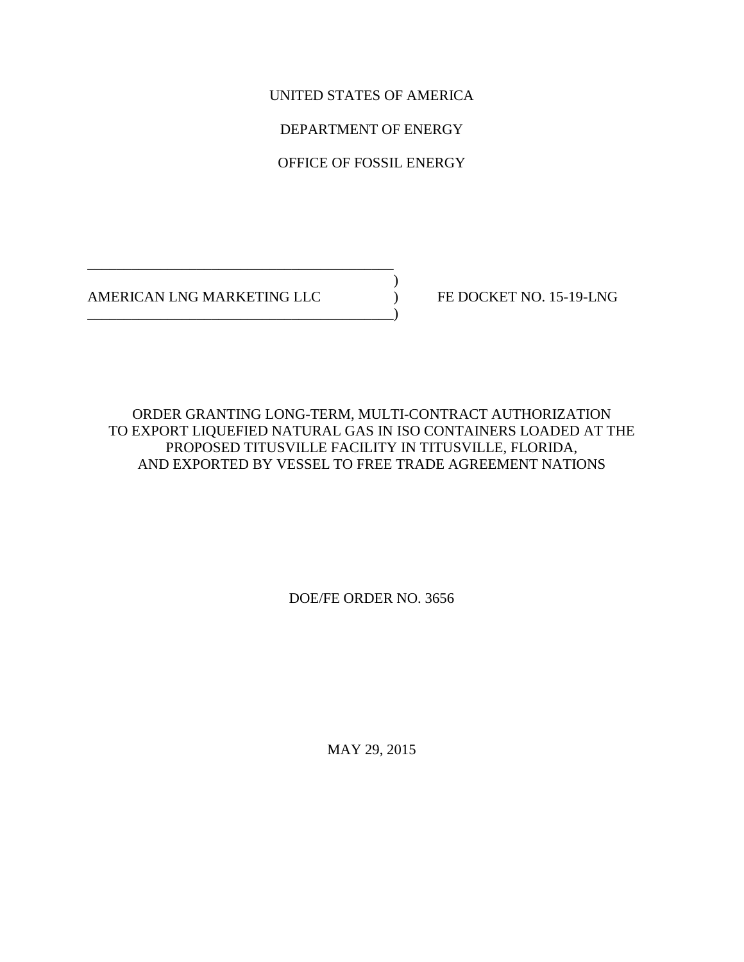UNITED STATES OF AMERICA

DEPARTMENT OF ENERGY

OFFICE OF FOSSIL ENERGY

 $)$ AMERICAN LNG MARKETING LLC FE DOCKET NO. 15-19-LNG

\_\_\_\_\_\_\_\_\_\_\_\_\_\_\_\_\_\_\_\_\_\_\_\_\_\_\_\_\_\_\_\_\_\_\_\_\_\_\_\_\_\_

\_\_\_\_\_\_\_\_\_\_\_\_\_\_\_\_\_\_\_\_\_\_\_\_\_\_\_\_\_\_\_\_\_\_\_\_\_\_\_\_\_\_)

ORDER GRANTING LONG-TERM, MULTI-CONTRACT AUTHORIZATION TO EXPORT LIQUEFIED NATURAL GAS IN ISO CONTAINERS LOADED AT THE PROPOSED TITUSVILLE FACILITY IN TITUSVILLE, FLORIDA, AND EXPORTED BY VESSEL TO FREE TRADE AGREEMENT NATIONS

DOE/FE ORDER NO. 3656

MAY 29, 2015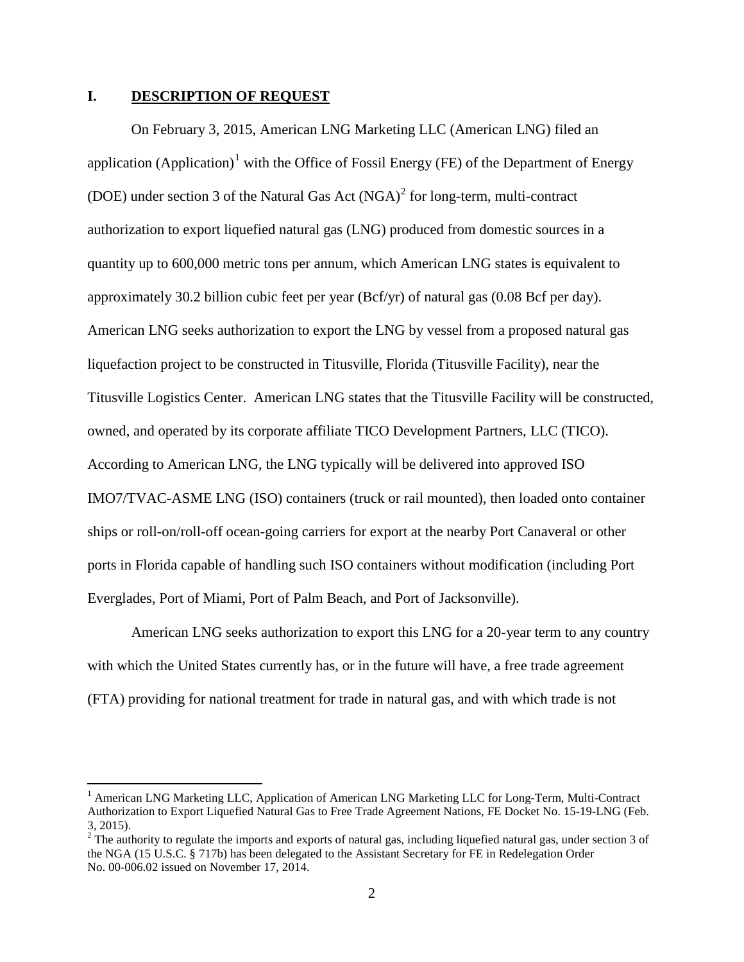## **I. DESCRIPTION OF REQUEST**

On February 3, 2015, American LNG Marketing LLC (American LNG) filed an application (Application)<sup>[1](#page-1-0)</sup> with the Office of Fossil Energy (FE) of the Department of Energy (DOE) under section 3 of the Natural Gas Act  $(NGA)^2$  $(NGA)^2$  for long-term, multi-contract authorization to export liquefied natural gas (LNG) produced from domestic sources in a quantity up to 600,000 metric tons per annum, which American LNG states is equivalent to approximately 30.2 billion cubic feet per year (Bcf/yr) of natural gas (0.08 Bcf per day). American LNG seeks authorization to export the LNG by vessel from a proposed natural gas liquefaction project to be constructed in Titusville, Florida (Titusville Facility), near the Titusville Logistics Center. American LNG states that the Titusville Facility will be constructed, owned, and operated by its corporate affiliate TICO Development Partners, LLC (TICO). According to American LNG, the LNG typically will be delivered into approved ISO IMO7/TVAC-ASME LNG (ISO) containers (truck or rail mounted), then loaded onto container ships or roll-on/roll-off ocean-going carriers for export at the nearby Port Canaveral or other ports in Florida capable of handling such ISO containers without modification (including Port Everglades, Port of Miami, Port of Palm Beach, and Port of Jacksonville).

American LNG seeks authorization to export this LNG for a 20-year term to any country with which the United States currently has, or in the future will have, a free trade agreement (FTA) providing for national treatment for trade in natural gas, and with which trade is not

<span id="page-1-0"></span><sup>&</sup>lt;sup>1</sup> American LNG Marketing LLC, Application of American LNG Marketing LLC for Long-Term, Multi-Contract Authorization to Export Liquefied Natural Gas to Free Trade Agreement Nations, FE Docket No. 15-19-LNG (Feb. 3, 2015). <sup>2</sup> The authority to regulate the imports and exports of natural gas, including liquefied natural gas, under section 3 of

<span id="page-1-1"></span>the NGA (15 U.S.C. § 717b) has been delegated to the Assistant Secretary for FE in Redelegation Order No. 00-006.02 issued on November 17, 2014.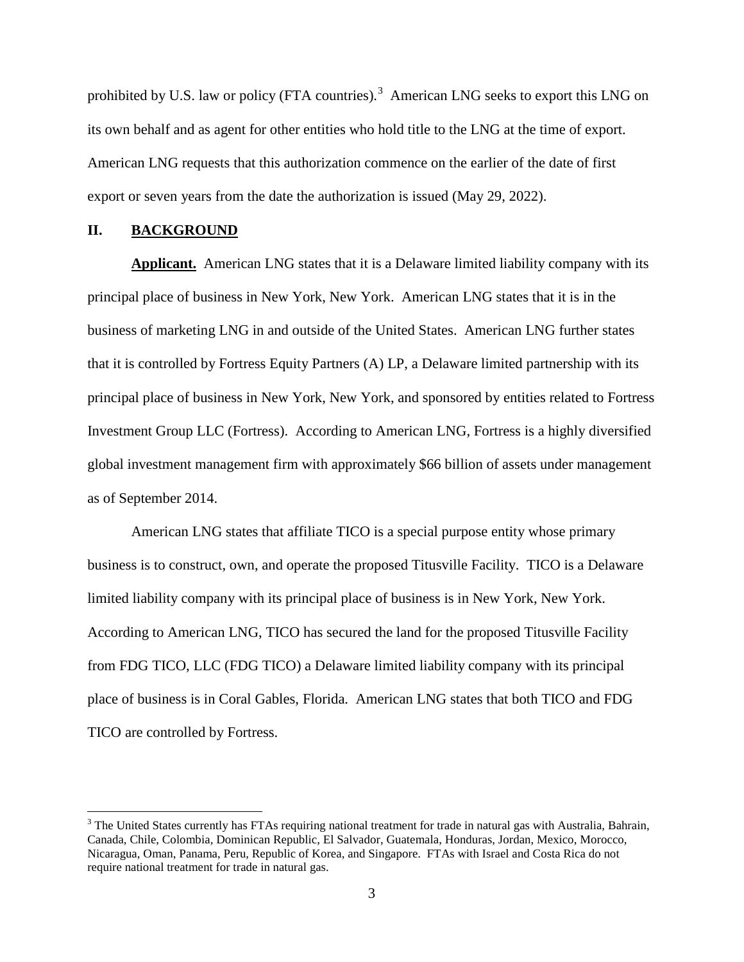prohibited by U.S. law or policy (FTA countries).<sup>[3](#page-2-0)</sup> American LNG seeks to export this LNG on its own behalf and as agent for other entities who hold title to the LNG at the time of export. American LNG requests that this authorization commence on the earlier of the date of first export or seven years from the date the authorization is issued (May 29, 2022).

## **II. BACKGROUND**

**Applicant.** American LNG states that it is a Delaware limited liability company with its principal place of business in New York, New York. American LNG states that it is in the business of marketing LNG in and outside of the United States. American LNG further states that it is controlled by Fortress Equity Partners (A) LP, a Delaware limited partnership with its principal place of business in New York, New York, and sponsored by entities related to Fortress Investment Group LLC (Fortress). According to American LNG, Fortress is a highly diversified global investment management firm with approximately \$66 billion of assets under management as of September 2014.

American LNG states that affiliate TICO is a special purpose entity whose primary business is to construct, own, and operate the proposed Titusville Facility. TICO is a Delaware limited liability company with its principal place of business is in New York, New York. According to American LNG, TICO has secured the land for the proposed Titusville Facility from FDG TICO, LLC (FDG TICO) a Delaware limited liability company with its principal place of business is in Coral Gables, Florida. American LNG states that both TICO and FDG TICO are controlled by Fortress.

<span id="page-2-0"></span><sup>&</sup>lt;sup>3</sup> The United States currently has FTAs requiring national treatment for trade in natural gas with Australia, Bahrain, Canada, Chile, Colombia, Dominican Republic, El Salvador, Guatemala, Honduras, Jordan, Mexico, Morocco, Nicaragua, Oman, Panama, Peru, Republic of Korea, and Singapore. FTAs with Israel and Costa Rica do not require national treatment for trade in natural gas.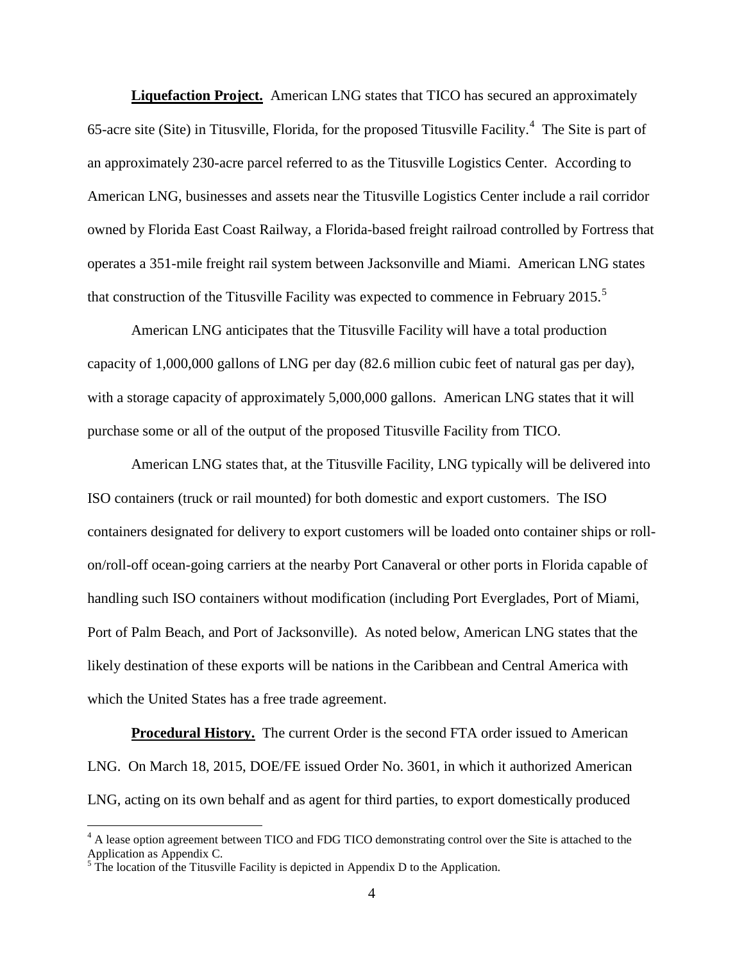**Liquefaction Project.** American LNG states that TICO has secured an approximately 65-acre site (Site) in Titusville, Florida, for the proposed Titusville Facility.<sup>[4](#page-3-0)</sup> The Site is part of an approximately 230-acre parcel referred to as the Titusville Logistics Center. According to American LNG, businesses and assets near the Titusville Logistics Center include a rail corridor owned by Florida East Coast Railway, a Florida-based freight railroad controlled by Fortress that operates a 351-mile freight rail system between Jacksonville and Miami. American LNG states that construction of the Titusville Facility was expected to commence in February 201[5](#page-3-1).<sup>5</sup>

American LNG anticipates that the Titusville Facility will have a total production capacity of 1,000,000 gallons of LNG per day (82.6 million cubic feet of natural gas per day), with a storage capacity of approximately 5,000,000 gallons. American LNG states that it will purchase some or all of the output of the proposed Titusville Facility from TICO.

American LNG states that, at the Titusville Facility, LNG typically will be delivered into ISO containers (truck or rail mounted) for both domestic and export customers. The ISO containers designated for delivery to export customers will be loaded onto container ships or rollon/roll-off ocean-going carriers at the nearby Port Canaveral or other ports in Florida capable of handling such ISO containers without modification (including Port Everglades, Port of Miami, Port of Palm Beach, and Port of Jacksonville). As noted below, American LNG states that the likely destination of these exports will be nations in the Caribbean and Central America with which the United States has a free trade agreement.

**Procedural History.** The current Order is the second FTA order issued to American LNG. On March 18, 2015, DOE/FE issued Order No. 3601, in which it authorized American LNG, acting on its own behalf and as agent for third parties, to export domestically produced

<span id="page-3-0"></span><sup>&</sup>lt;sup>4</sup> A lease option agreement between TICO and FDG TICO demonstrating control over the Site is attached to the Application as Appendix C.

<span id="page-3-1"></span> $<sup>5</sup>$  The location of the Titusville Facility is depicted in Appendix D to the Application.</sup>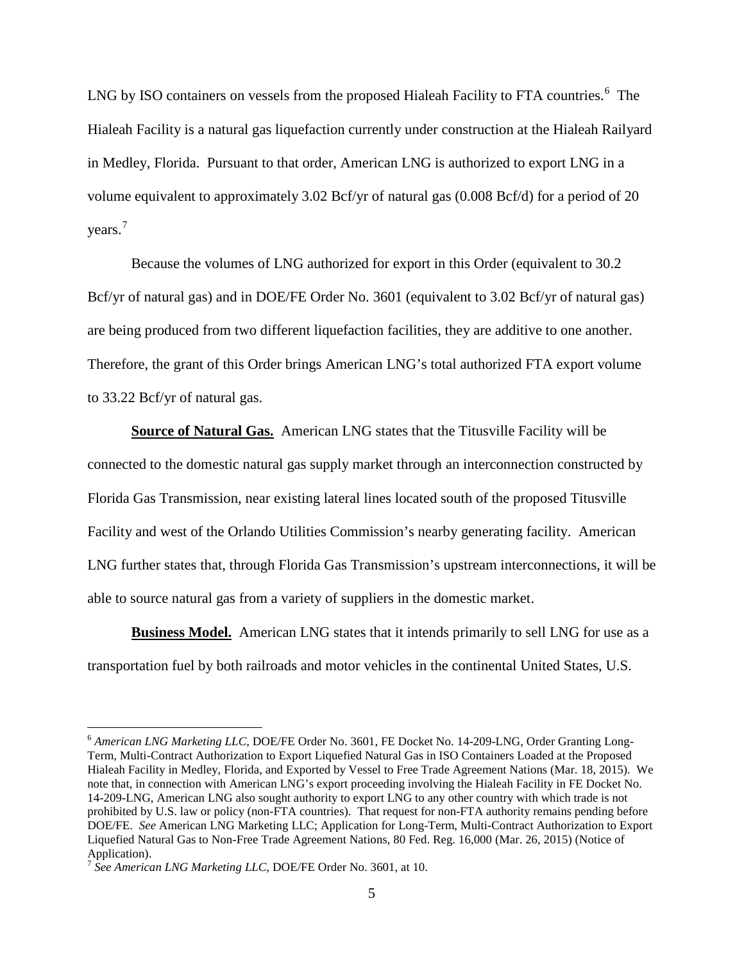LNG by ISO containers on vessels from the proposed Hialeah Facility to FTA countries.<sup>[6](#page-4-0)</sup> The Hialeah Facility is a natural gas liquefaction currently under construction at the Hialeah Railyard in Medley, Florida. Pursuant to that order, American LNG is authorized to export LNG in a volume equivalent to approximately 3.02 Bcf/yr of natural gas (0.008 Bcf/d) for a period of 20 years. [7](#page-4-1)

Because the volumes of LNG authorized for export in this Order (equivalent to 30.2 Bcf/yr of natural gas) and in DOE/FE Order No. 3601 (equivalent to 3.02 Bcf/yr of natural gas) are being produced from two different liquefaction facilities, they are additive to one another. Therefore, the grant of this Order brings American LNG's total authorized FTA export volume to 33.22 Bcf/yr of natural gas.

**Source of Natural Gas.** American LNG states that the Titusville Facility will be connected to the domestic natural gas supply market through an interconnection constructed by Florida Gas Transmission, near existing lateral lines located south of the proposed Titusville Facility and west of the Orlando Utilities Commission's nearby generating facility. American LNG further states that, through Florida Gas Transmission's upstream interconnections, it will be able to source natural gas from a variety of suppliers in the domestic market.

**Business Model.** American LNG states that it intends primarily to sell LNG for use as a transportation fuel by both railroads and motor vehicles in the continental United States, U.S.

<span id="page-4-0"></span><sup>&</sup>lt;sup>6</sup> American LNG Marketing LLC, DOE/FE Order No. 3601, FE Docket No. 14-209-LNG, Order Granting Long-Term, Multi-Contract Authorization to Export Liquefied Natural Gas in ISO Containers Loaded at the Proposed Hialeah Facility in Medley, Florida, and Exported by Vessel to Free Trade Agreement Nations (Mar. 18, 2015). We note that, in connection with American LNG's export proceeding involving the Hialeah Facility in FE Docket No. 14-209-LNG, American LNG also sought authority to export LNG to any other country with which trade is not prohibited by U.S. law or policy (non-FTA countries). That request for non-FTA authority remains pending before DOE/FE. *See* American LNG Marketing LLC; Application for Long-Term, Multi-Contract Authorization to Export Liquefied Natural Gas to Non-Free Trade Agreement Nations, 80 Fed. Reg. 16,000 (Mar. 26, 2015) (Notice of Application).

<span id="page-4-1"></span><sup>7</sup> *See American LNG Marketing LLC*, DOE/FE Order No. 3601, at 10.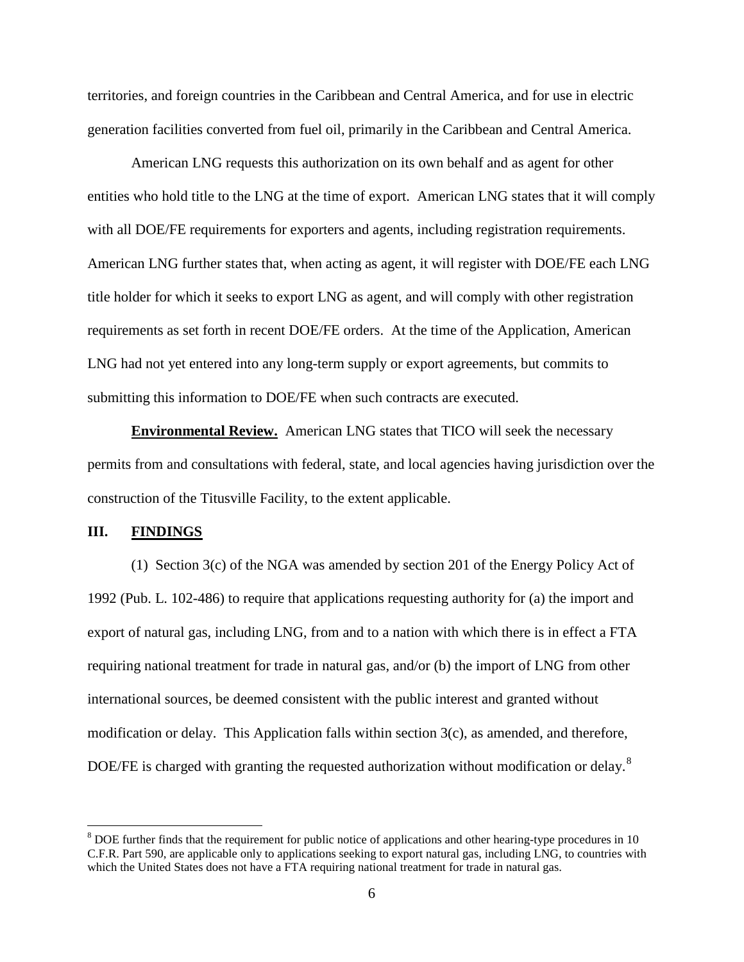territories, and foreign countries in the Caribbean and Central America, and for use in electric generation facilities converted from fuel oil, primarily in the Caribbean and Central America.

American LNG requests this authorization on its own behalf and as agent for other entities who hold title to the LNG at the time of export. American LNG states that it will comply with all DOE/FE requirements for exporters and agents, including registration requirements. American LNG further states that, when acting as agent, it will register with DOE/FE each LNG title holder for which it seeks to export LNG as agent, and will comply with other registration requirements as set forth in recent DOE/FE orders. At the time of the Application, American LNG had not yet entered into any long-term supply or export agreements, but commits to submitting this information to DOE/FE when such contracts are executed.

**Environmental Review.** American LNG states that TICO will seek the necessary permits from and consultations with federal, state, and local agencies having jurisdiction over the construction of the Titusville Facility, to the extent applicable.

## **III. FINDINGS**

(1) Section 3(c) of the NGA was amended by section 201 of the Energy Policy Act of 1992 (Pub. L. 102-486) to require that applications requesting authority for (a) the import and export of natural gas, including LNG, from and to a nation with which there is in effect a FTA requiring national treatment for trade in natural gas, and/or (b) the import of LNG from other international sources, be deemed consistent with the public interest and granted without modification or delay. This Application falls within section 3(c), as amended, and therefore, DOE/FE is charged with granting the requested authorization without modification or delay.<sup>[8](#page-5-0)</sup>

<span id="page-5-0"></span><sup>&</sup>lt;sup>8</sup> DOE further finds that the requirement for public notice of applications and other hearing-type procedures in 10 C.F.R. Part 590, are applicable only to applications seeking to export natural gas, including LNG, to countries with which the United States does not have a FTA requiring national treatment for trade in natural gas.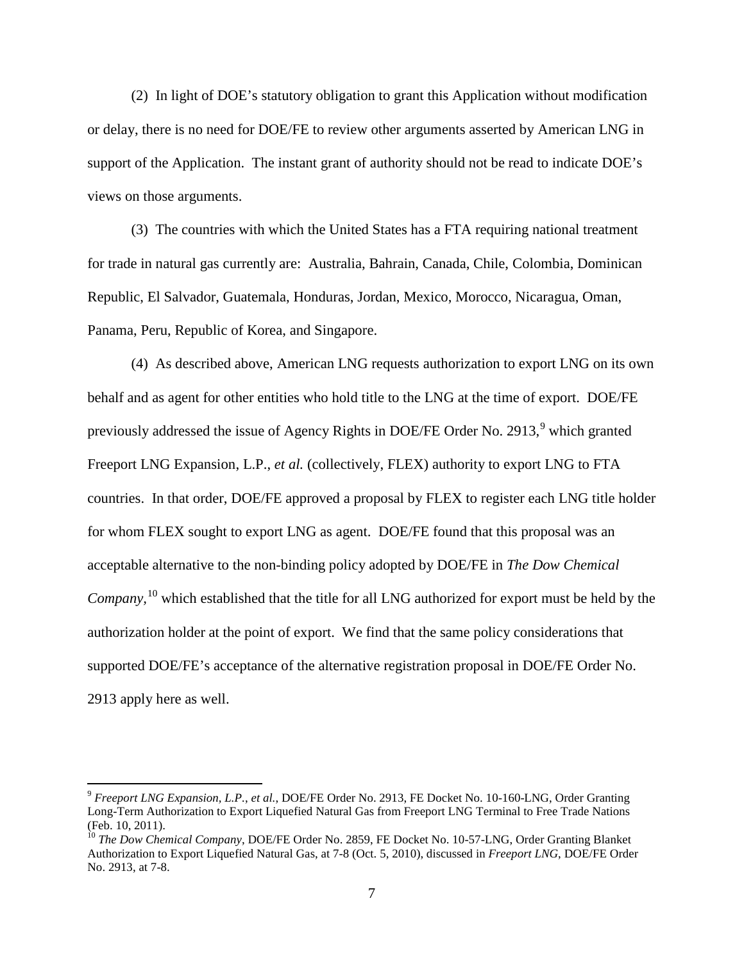(2) In light of DOE's statutory obligation to grant this Application without modification or delay, there is no need for DOE/FE to review other arguments asserted by American LNG in support of the Application. The instant grant of authority should not be read to indicate DOE's views on those arguments.

(3) The countries with which the United States has a FTA requiring national treatment for trade in natural gas currently are: Australia, Bahrain, Canada, Chile, Colombia, Dominican Republic, El Salvador, Guatemala, Honduras, Jordan, Mexico, Morocco, Nicaragua, Oman, Panama, Peru, Republic of Korea, and Singapore.

(4) As described above, American LNG requests authorization to export LNG on its own behalf and as agent for other entities who hold title to the LNG at the time of export. DOE/FE previously addressed the issue of Agency Rights in DOE/FE Order No. 2[9](#page-6-0)13,<sup>9</sup> which granted Freeport LNG Expansion, L.P., *et al.* (collectively, FLEX) authority to export LNG to FTA countries. In that order, DOE/FE approved a proposal by FLEX to register each LNG title holder for whom FLEX sought to export LNG as agent. DOE/FE found that this proposal was an acceptable alternative to the non-binding policy adopted by DOE/FE in *The Dow Chemical Company,*[10](#page-6-1) which established that the title for all LNG authorized for export must be held by the authorization holder at the point of export. We find that the same policy considerations that supported DOE/FE's acceptance of the alternative registration proposal in DOE/FE Order No. 2913 apply here as well.

<span id="page-6-0"></span> <sup>9</sup> *Freeport LNG Expansion, L.P.*, *et al.*, DOE/FE Order No. 2913, FE Docket No. 10-160-LNG, Order Granting Long-Term Authorization to Export Liquefied Natural Gas from Freeport LNG Terminal to Free Trade Nations (Feb. 10, 2011).

<span id="page-6-1"></span><sup>10</sup> *The Dow Chemical Company*, DOE/FE Order No. 2859, FE Docket No. 10-57-LNG, Order Granting Blanket Authorization to Export Liquefied Natural Gas, at 7-8 (Oct. 5, 2010), discussed in *Freeport LNG*, DOE/FE Order No. 2913, at 7-8.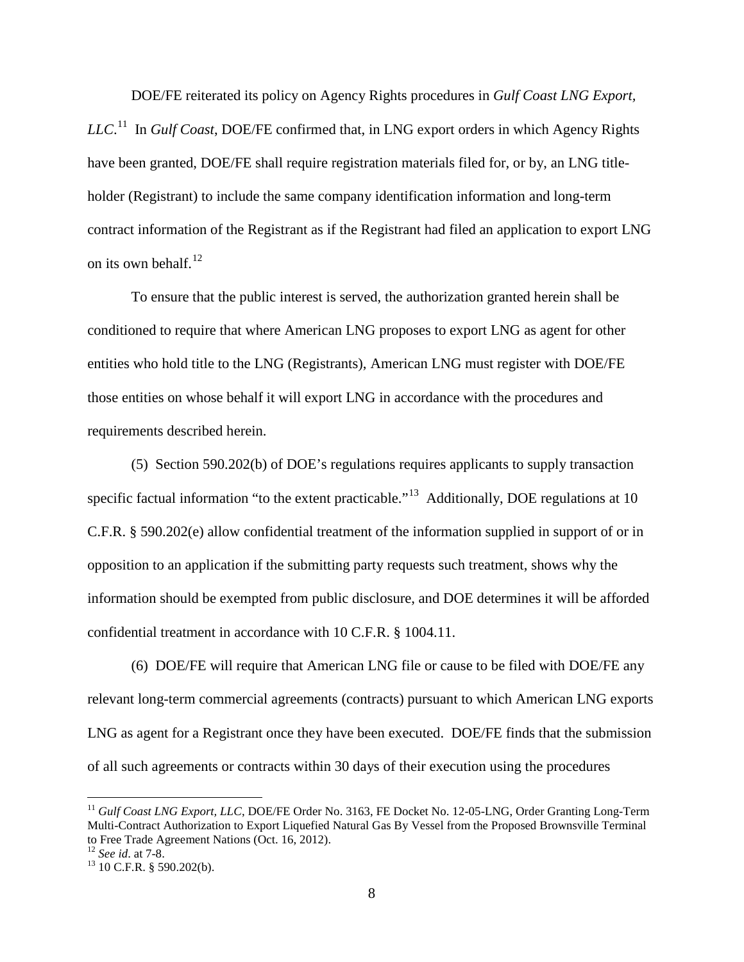DOE/FE reiterated its policy on Agency Rights procedures in *Gulf Coast LNG Export, LLC*. [11](#page-7-0) In *Gulf Coast*, DOE/FE confirmed that, in LNG export orders in which Agency Rights have been granted, DOE/FE shall require registration materials filed for, or by, an LNG titleholder (Registrant) to include the same company identification information and long-term contract information of the Registrant as if the Registrant had filed an application to export LNG on its own behalf. $^{12}$ 

To ensure that the public interest is served, the authorization granted herein shall be conditioned to require that where American LNG proposes to export LNG as agent for other entities who hold title to the LNG (Registrants), American LNG must register with DOE/FE those entities on whose behalf it will export LNG in accordance with the procedures and requirements described herein.

(5) Section 590.202(b) of DOE's regulations requires applicants to supply transaction specific factual information "to the extent practicable."<sup>13</sup> Additionally, DOE regulations at 10 C.F.R. § 590.202(e) allow confidential treatment of the information supplied in support of or in opposition to an application if the submitting party requests such treatment, shows why the information should be exempted from public disclosure, and DOE determines it will be afforded confidential treatment in accordance with 10 C.F.R. § 1004.11.

(6) DOE/FE will require that American LNG file or cause to be filed with DOE/FE any relevant long-term commercial agreements (contracts) pursuant to which American LNG exports LNG as agent for a Registrant once they have been executed. DOE/FE finds that the submission of all such agreements or contracts within 30 days of their execution using the procedures

<span id="page-7-0"></span><sup>&</sup>lt;sup>11</sup> *Gulf Coast LNG Export, LLC, DOE/FE Order No.* 3163, FE Docket No. 12-05-LNG, Order Granting Long-Term Multi-Contract Authorization to Export Liquefied Natural Gas By Vessel from the Proposed Brownsville Terminal to Free Trade Agreement Nations (Oct. 16, 2012).<br><sup>12</sup> See id. at 7-8.

<span id="page-7-1"></span>

<span id="page-7-2"></span><sup>&</sup>lt;sup>13</sup> 10 C.F.R. § 590.202(b).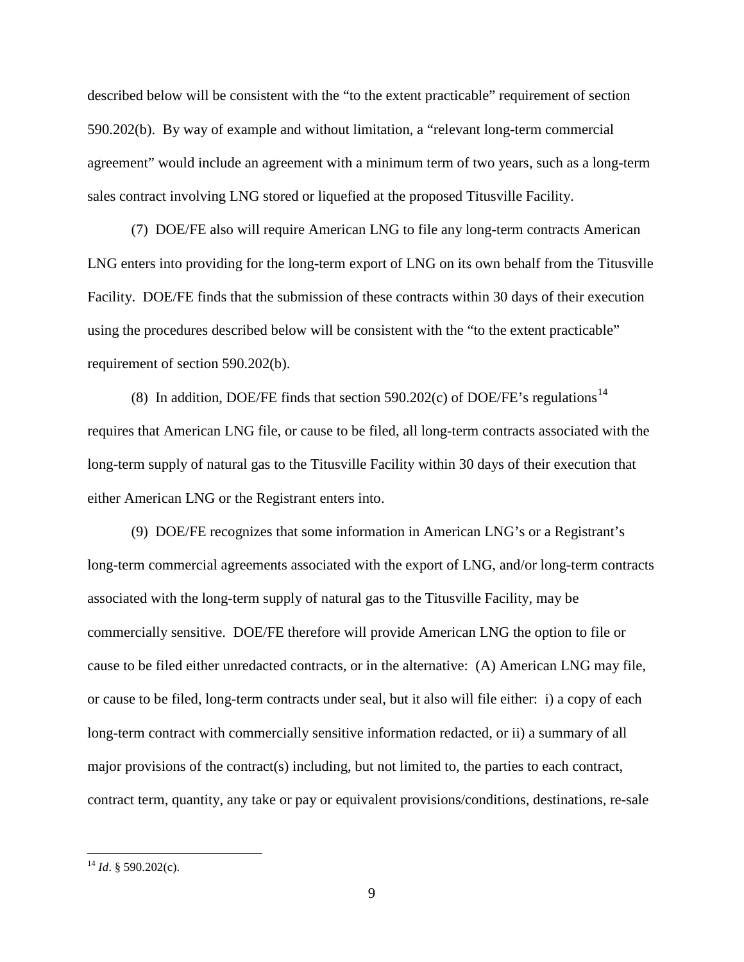described below will be consistent with the "to the extent practicable" requirement of section 590.202(b). By way of example and without limitation, a "relevant long-term commercial agreement" would include an agreement with a minimum term of two years, such as a long-term sales contract involving LNG stored or liquefied at the proposed Titusville Facility.

(7) DOE/FE also will require American LNG to file any long-term contracts American LNG enters into providing for the long-term export of LNG on its own behalf from the Titusville Facility. DOE/FE finds that the submission of these contracts within 30 days of their execution using the procedures described below will be consistent with the "to the extent practicable" requirement of section 590.202(b).

(8) In addition, DOE/FE finds that section 590.202(c) of DOE/FE's regulations<sup>[14](#page-8-0)</sup> requires that American LNG file, or cause to be filed, all long-term contracts associated with the long-term supply of natural gas to the Titusville Facility within 30 days of their execution that either American LNG or the Registrant enters into.

(9) DOE/FE recognizes that some information in American LNG's or a Registrant's long-term commercial agreements associated with the export of LNG, and/or long-term contracts associated with the long-term supply of natural gas to the Titusville Facility, may be commercially sensitive. DOE/FE therefore will provide American LNG the option to file or cause to be filed either unredacted contracts, or in the alternative: (A) American LNG may file, or cause to be filed, long-term contracts under seal, but it also will file either: i) a copy of each long-term contract with commercially sensitive information redacted, or ii) a summary of all major provisions of the contract(s) including, but not limited to, the parties to each contract, contract term, quantity, any take or pay or equivalent provisions/conditions, destinations, re-sale

<span id="page-8-0"></span> <sup>14</sup> *Id*. § 590.202(c).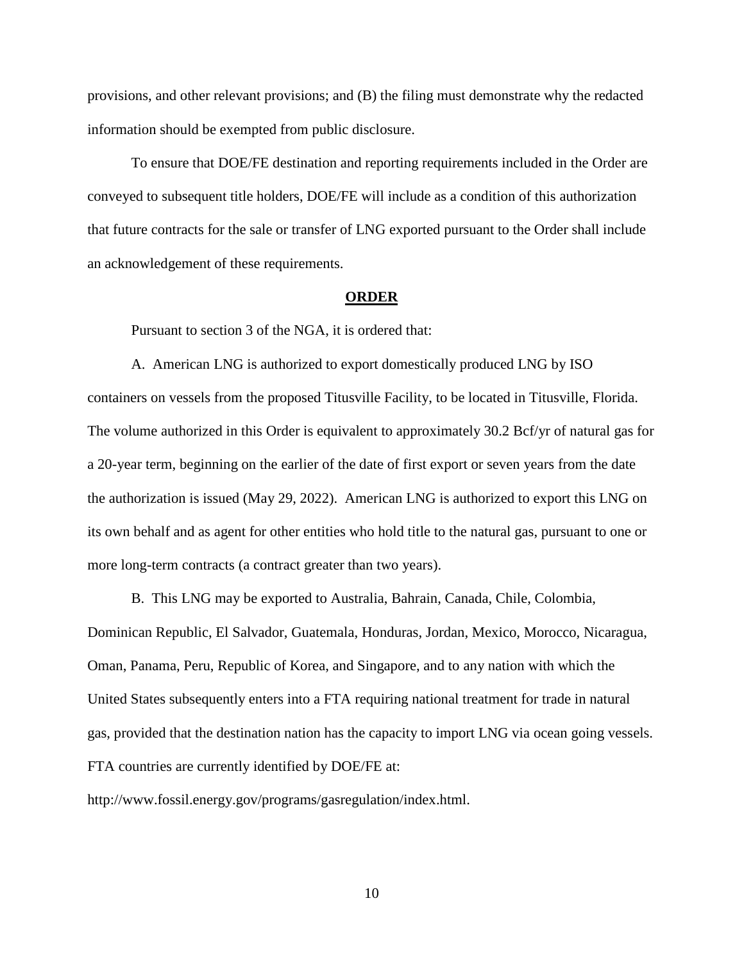provisions, and other relevant provisions; and (B) the filing must demonstrate why the redacted information should be exempted from public disclosure.

To ensure that DOE/FE destination and reporting requirements included in the Order are conveyed to subsequent title holders, DOE/FE will include as a condition of this authorization that future contracts for the sale or transfer of LNG exported pursuant to the Order shall include an acknowledgement of these requirements.

## **ORDER**

Pursuant to section 3 of the NGA, it is ordered that:

A. American LNG is authorized to export domestically produced LNG by ISO containers on vessels from the proposed Titusville Facility, to be located in Titusville, Florida. The volume authorized in this Order is equivalent to approximately 30.2 Bcf/yr of natural gas for a 20-year term, beginning on the earlier of the date of first export or seven years from the date the authorization is issued (May 29, 2022). American LNG is authorized to export this LNG on its own behalf and as agent for other entities who hold title to the natural gas, pursuant to one or more long-term contracts (a contract greater than two years).

B. This LNG may be exported to Australia, Bahrain, Canada, Chile, Colombia, Dominican Republic, El Salvador, Guatemala, Honduras, Jordan, Mexico, Morocco, Nicaragua, Oman, Panama, Peru, Republic of Korea, and Singapore, and to any nation with which the United States subsequently enters into a FTA requiring national treatment for trade in natural gas, provided that the destination nation has the capacity to import LNG via ocean going vessels. FTA countries are currently identified by DOE/FE at:

http://www.fossil.energy.gov/programs/gasregulation/index.html.

10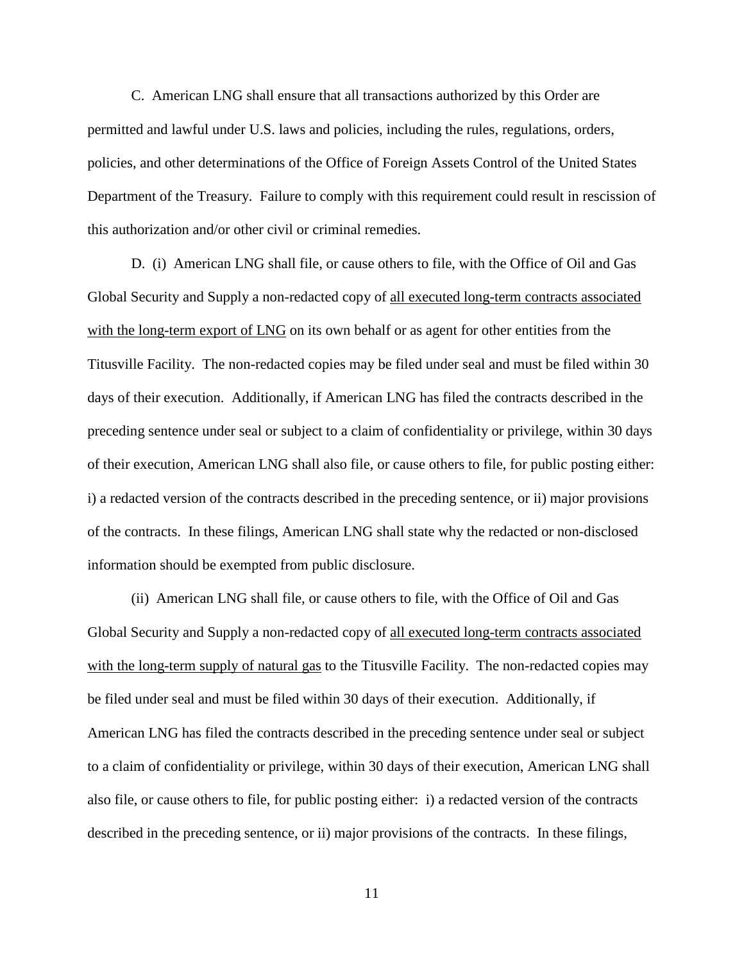C. American LNG shall ensure that all transactions authorized by this Order are permitted and lawful under U.S. laws and policies, including the rules, regulations, orders, policies, and other determinations of the Office of Foreign Assets Control of the United States Department of the Treasury. Failure to comply with this requirement could result in rescission of this authorization and/or other civil or criminal remedies.

D. (i) American LNG shall file, or cause others to file, with the Office of Oil and Gas Global Security and Supply a non-redacted copy of all executed long-term contracts associated with the long-term export of LNG on its own behalf or as agent for other entities from the Titusville Facility. The non-redacted copies may be filed under seal and must be filed within 30 days of their execution. Additionally, if American LNG has filed the contracts described in the preceding sentence under seal or subject to a claim of confidentiality or privilege, within 30 days of their execution, American LNG shall also file, or cause others to file, for public posting either: i) a redacted version of the contracts described in the preceding sentence, or ii) major provisions of the contracts. In these filings, American LNG shall state why the redacted or non-disclosed information should be exempted from public disclosure.

(ii) American LNG shall file, or cause others to file, with the Office of Oil and Gas Global Security and Supply a non-redacted copy of all executed long-term contracts associated with the long-term supply of natural gas to the Titusville Facility. The non-redacted copies may be filed under seal and must be filed within 30 days of their execution. Additionally, if American LNG has filed the contracts described in the preceding sentence under seal or subject to a claim of confidentiality or privilege, within 30 days of their execution, American LNG shall also file, or cause others to file, for public posting either: i) a redacted version of the contracts described in the preceding sentence, or ii) major provisions of the contracts. In these filings,

11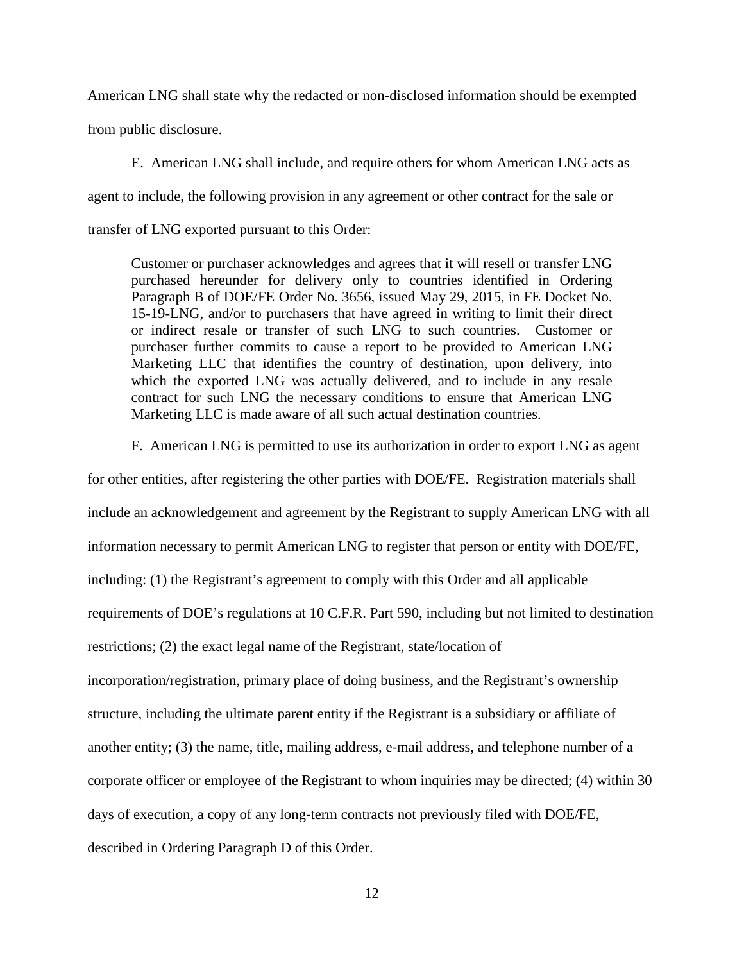American LNG shall state why the redacted or non-disclosed information should be exempted

from public disclosure.

E. American LNG shall include, and require others for whom American LNG acts as agent to include, the following provision in any agreement or other contract for the sale or transfer of LNG exported pursuant to this Order:

Customer or purchaser acknowledges and agrees that it will resell or transfer LNG purchased hereunder for delivery only to countries identified in Ordering Paragraph B of DOE/FE Order No. 3656, issued May 29, 2015, in FE Docket No. 15-19-LNG, and/or to purchasers that have agreed in writing to limit their direct or indirect resale or transfer of such LNG to such countries. Customer or purchaser further commits to cause a report to be provided to American LNG Marketing LLC that identifies the country of destination, upon delivery, into which the exported LNG was actually delivered, and to include in any resale contract for such LNG the necessary conditions to ensure that American LNG Marketing LLC is made aware of all such actual destination countries.

F. American LNG is permitted to use its authorization in order to export LNG as agent

for other entities, after registering the other parties with DOE/FE. Registration materials shall include an acknowledgement and agreement by the Registrant to supply American LNG with all information necessary to permit American LNG to register that person or entity with DOE/FE, including: (1) the Registrant's agreement to comply with this Order and all applicable requirements of DOE's regulations at 10 C.F.R. Part 590, including but not limited to destination restrictions; (2) the exact legal name of the Registrant, state/location of incorporation/registration, primary place of doing business, and the Registrant's ownership structure, including the ultimate parent entity if the Registrant is a subsidiary or affiliate of another entity; (3) the name, title, mailing address, e-mail address, and telephone number of a corporate officer or employee of the Registrant to whom inquiries may be directed; (4) within 30 days of execution, a copy of any long-term contracts not previously filed with DOE/FE, described in Ordering Paragraph D of this Order.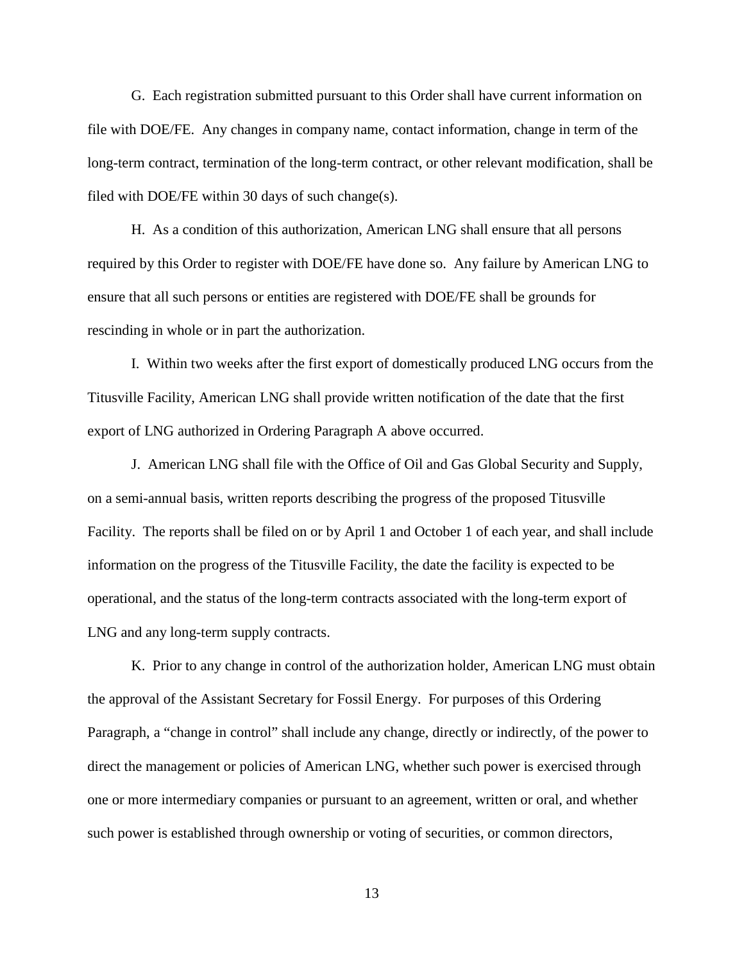G. Each registration submitted pursuant to this Order shall have current information on file with DOE/FE. Any changes in company name, contact information, change in term of the long-term contract, termination of the long-term contract, or other relevant modification, shall be filed with DOE/FE within 30 days of such change(s).

H. As a condition of this authorization, American LNG shall ensure that all persons required by this Order to register with DOE/FE have done so. Any failure by American LNG to ensure that all such persons or entities are registered with DOE/FE shall be grounds for rescinding in whole or in part the authorization.

I. Within two weeks after the first export of domestically produced LNG occurs from the Titusville Facility, American LNG shall provide written notification of the date that the first export of LNG authorized in Ordering Paragraph A above occurred.

J. American LNG shall file with the Office of Oil and Gas Global Security and Supply, on a semi-annual basis, written reports describing the progress of the proposed Titusville Facility. The reports shall be filed on or by April 1 and October 1 of each year, and shall include information on the progress of the Titusville Facility, the date the facility is expected to be operational, and the status of the long-term contracts associated with the long-term export of LNG and any long-term supply contracts.

K. Prior to any change in control of the authorization holder, American LNG must obtain the approval of the Assistant Secretary for Fossil Energy. For purposes of this Ordering Paragraph, a "change in control" shall include any change, directly or indirectly, of the power to direct the management or policies of American LNG, whether such power is exercised through one or more intermediary companies or pursuant to an agreement, written or oral, and whether such power is established through ownership or voting of securities, or common directors,

13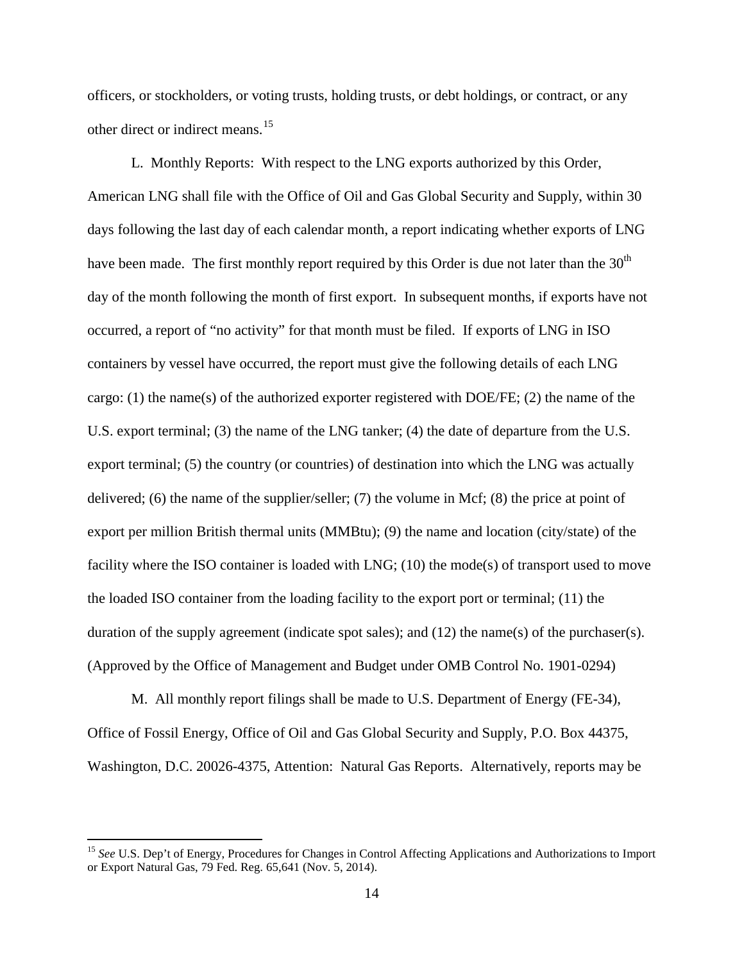officers, or stockholders, or voting trusts, holding trusts, or debt holdings, or contract, or any other direct or indirect means.<sup>[15](#page-13-0)</sup>

L. Monthly Reports:With respect to the LNG exports authorized by this Order, American LNG shall file with the Office of Oil and Gas Global Security and Supply, within 30 days following the last day of each calendar month, a report indicating whether exports of LNG have been made. The first monthly report required by this Order is due not later than the  $30<sup>th</sup>$ day of the month following the month of first export. In subsequent months, if exports have not occurred, a report of "no activity" for that month must be filed. If exports of LNG in ISO containers by vessel have occurred, the report must give the following details of each LNG cargo: (1) the name(s) of the authorized exporter registered with DOE/FE; (2) the name of the U.S. export terminal; (3) the name of the LNG tanker; (4) the date of departure from the U.S. export terminal; (5) the country (or countries) of destination into which the LNG was actually delivered; (6) the name of the supplier/seller; (7) the volume in Mcf; (8) the price at point of export per million British thermal units (MMBtu); (9) the name and location (city/state) of the facility where the ISO container is loaded with LNG; (10) the mode(s) of transport used to move the loaded ISO container from the loading facility to the export port or terminal; (11) the duration of the supply agreement (indicate spot sales); and  $(12)$  the name(s) of the purchaser(s). (Approved by the Office of Management and Budget under OMB Control No. 1901-0294)

M. All monthly report filings shall be made to U.S. Department of Energy (FE-34), Office of Fossil Energy, Office of Oil and Gas Global Security and Supply, P.O. Box 44375, Washington, D.C. 20026-4375, Attention: Natural Gas Reports. Alternatively, reports may be

<span id="page-13-0"></span><sup>&</sup>lt;sup>15</sup> See U.S. Dep't of Energy, Procedures for Changes in Control Affecting Applications and Authorizations to Import or Export Natural Gas, 79 Fed. Reg. 65,641 (Nov. 5, 2014).